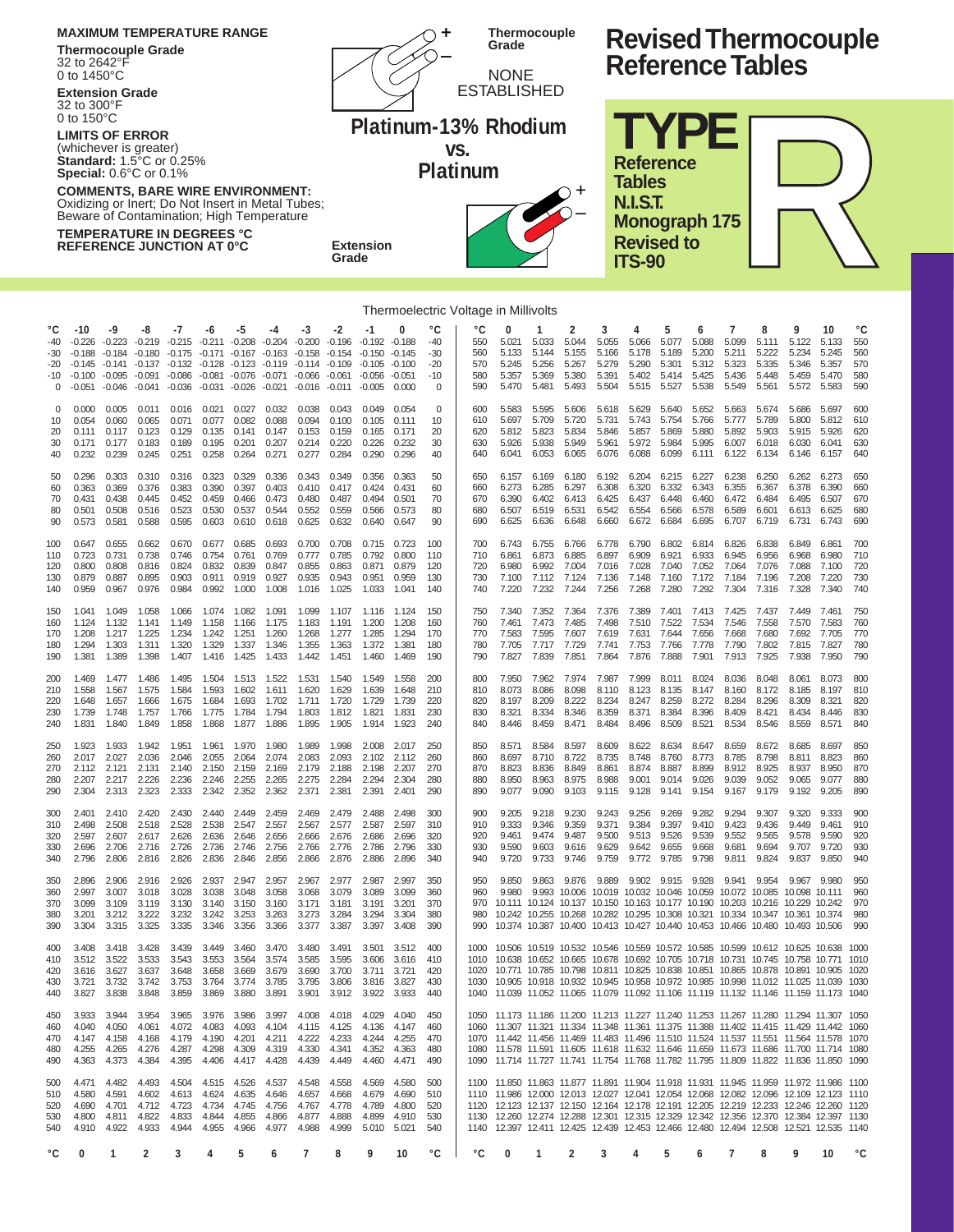| <b>MAXIMUM TEMPERATURE RANGE</b><br><b>Thermocouple Grade</b><br>32 to 2642°F<br>0 to 1450 $^{\circ}$ C<br><b>Extension Grade</b>                                                                                                                                                                                                                                                        |                                                                          |                                                       |                                                                |                                                                |                                                                |                                                                               |                                                                |                                                                        |                                                    |                                                                       |                                           |                                                       |                                       | <b>Thermocouple</b><br>Grade<br><b>NONE</b><br><b>ESTABLISHED</b>                                                                                                                                                                                                                                                                                                                                                                                              |                                           |                                                                      |                                                | <b>Revised Thermocouple</b><br><b>Reference Tables</b> |                                                                              |                                                |                                                |                                                |                                                 |                                                 |                                       |  |
|------------------------------------------------------------------------------------------------------------------------------------------------------------------------------------------------------------------------------------------------------------------------------------------------------------------------------------------------------------------------------------------|--------------------------------------------------------------------------|-------------------------------------------------------|----------------------------------------------------------------|----------------------------------------------------------------|----------------------------------------------------------------|-------------------------------------------------------------------------------|----------------------------------------------------------------|------------------------------------------------------------------------|----------------------------------------------------|-----------------------------------------------------------------------|-------------------------------------------|-------------------------------------------------------|---------------------------------------|----------------------------------------------------------------------------------------------------------------------------------------------------------------------------------------------------------------------------------------------------------------------------------------------------------------------------------------------------------------------------------------------------------------------------------------------------------------|-------------------------------------------|----------------------------------------------------------------------|------------------------------------------------|--------------------------------------------------------|------------------------------------------------------------------------------|------------------------------------------------|------------------------------------------------|------------------------------------------------|-------------------------------------------------|-------------------------------------------------|---------------------------------------|--|
| 32 to 300°F<br>0 to 150 $^{\circ}$ C<br><b>LIMITS OF ERROR</b><br>(whichever is greater)<br><b>Standard: 1.5 °C or 0.25%</b><br><b>Special:</b> $0.6^{\circ}$ C or $0.1\%$<br><b>COMMENTS, BARE WIRE ENVIRONMENT:</b><br>Oxidizing or Inert; Do Not Insert in Metal Tubes;<br>Beware of Contamination; High Temperature<br>TEMPERATURE IN DEGREES °C<br><b>REFERENCE JUNCTION AT 0°C</b> |                                                                          |                                                       |                                                                |                                                                |                                                                |                                                                               |                                                                |                                                                        |                                                    | <b>Extension</b><br>Grade                                             |                                           |                                                       | VS.                                   | Platinum-13% Rhodium<br>Platinum                                                                                                                                                                                                                                                                                                                                                                                                                               |                                           |                                                                      |                                                | <b>Tables</b><br><b>N.I.S.T.</b><br><b>ITS-90</b>      | <b>TYPE</b><br><b>Reference</b><br><b>Monograph 175</b><br><b>Revised to</b> |                                                |                                                |                                                |                                                 |                                                 |                                       |  |
| Thermoelectric Voltage in Millivolts                                                                                                                                                                                                                                                                                                                                                     |                                                                          |                                                       |                                                                |                                                                |                                                                |                                                                               |                                                                |                                                                        |                                                    |                                                                       |                                           |                                                       |                                       |                                                                                                                                                                                                                                                                                                                                                                                                                                                                |                                           |                                                                      |                                                |                                                        |                                                                              |                                                |                                                |                                                |                                                 |                                                 |                                       |  |
| °C<br>$-40$<br>-30<br>-20<br>-10<br>$\Omega$                                                                                                                                                                                                                                                                                                                                             | $-10$<br>$-0.226 -0.223$<br>$-0.188$<br>$-0.145$<br>$-0.100$<br>$-0.051$ | -9<br>$-0.184$<br>$-0.141$<br>$-0.095$<br>$-0.046$    | -8<br>$-0.219$<br>$-0.180$<br>$-0.137$<br>$-0.091$<br>$-0.041$ | -7<br>$-0.215$<br>$-0.175$<br>$-0.132$<br>$-0.086$<br>$-0.036$ | -6<br>$-0.211$<br>$-0.171$<br>$-0.128$<br>$-0.081$<br>$-0.031$ | -5<br>$-0.208$<br>$-0.167$<br>$-0.123$<br>$-0.076$<br>$-0.026$                | -4<br>$-0.204$<br>$-0.163$<br>$-0.119$<br>$-0.071$<br>$-0.021$ | -3<br>$-0.200$<br>$-0.158$<br>$-0.114 - 0.109$<br>$-0.066$<br>$-0.016$ | -2<br>$-0.196$<br>$-0.154$<br>$-0.061$<br>$-0.011$ | -1<br>$-0.192 -0.188$<br>$-0.150$<br>$-0.105$<br>$-0.056$<br>$-0.005$ | $-0.145$<br>$-0.100$<br>$-0.051$<br>0.000 | °C<br>$-40$<br>$-30$<br>$-20$<br>$-10$<br>$\mathbf 0$ | °C<br>550<br>560<br>570<br>580<br>590 | O<br>5.021<br>5.133<br>5.245<br>5.357<br>5.470                                                                                                                                                                                                                                                                                                                                                                                                                 | 5.033<br>5.144<br>5.256<br>5.369<br>5.481 | 2<br>5.044<br>5.155<br>5.267<br>5.380<br>5.493                       | 3<br>5.055<br>5.166<br>5.279<br>5.391<br>5.504 | 4<br>5.066<br>5.178<br>5.290<br>5.402<br>5.515         | 5<br>5.077<br>5.189<br>5.301<br>5.414<br>5.527                               | 6<br>5.088<br>5.200<br>5.312<br>5.425<br>5.538 | 7<br>5.099<br>5.211<br>5.323<br>5.436<br>5.549 | 8<br>5.111<br>5.222<br>5.335<br>5.448<br>5.561 | 9<br>5.122<br>5.234<br>5.346<br>5.459<br>5.572  | 10<br>5.133<br>5.245<br>5.357<br>5.470<br>5.583 | °C<br>550<br>560<br>570<br>580<br>590 |  |
| $\Omega$<br>10<br>20<br>30<br>40                                                                                                                                                                                                                                                                                                                                                         | 0.000<br>0.054<br>0.111<br>0.171<br>0.232                                | 0.005<br>0.060<br>0.117<br>0.177<br>0.239             | 0.011<br>0.065<br>0.123<br>0.183<br>0.245                      | 0.016<br>0.071<br>0.129<br>0.189<br>0.251                      | 0.021<br>0.077<br>0.135<br>0.195<br>0.258                      | 0.027<br>0.082<br>0.141<br>0.201<br>0.264                                     | 0.032<br>0.088<br>0.147<br>0.207<br>0.271                      | 0.038<br>0.094<br>0.153<br>0.214<br>0.277                              | 0.043<br>0.100<br>0.159<br>0.220<br>0.284          | 0.049<br>0.105<br>0.165<br>0.226<br>0.290                             | 0.054<br>0.111<br>0.171<br>0.232<br>0.296 | $\Omega$<br>10<br>20<br>30<br>40                      | 600<br>610<br>620<br>630<br>640       | 5.583<br>5.697<br>5.812<br>5.926<br>6.041                                                                                                                                                                                                                                                                                                                                                                                                                      | 5.595<br>5.709<br>5.823<br>5.938<br>6.053 | 5.606<br>5.720<br>5.834<br>5.949<br>6.065                            | 5.618<br>5.731<br>5.846<br>5.961<br>6.076      | 5.629<br>5.743<br>5.857<br>5.972<br>6.088              | 5.640<br>5.754<br>5.869<br>5.984<br>6.099                                    | 5.652<br>5.766<br>5.880<br>5.995<br>6.111      | 5.663<br>5.777<br>5.892<br>6.007<br>6.122      | 5.674<br>5.789<br>5.903<br>6.018<br>6.134      | 5.686<br>5.800<br>5.915<br>6.030<br>6.146       | 5.697<br>5.812<br>5.926<br>6.041<br>6.157       | 600<br>610<br>620<br>630<br>640       |  |
| 50<br>60<br>70<br>80<br>90                                                                                                                                                                                                                                                                                                                                                               | 0.296<br>0.363<br>0.431<br>0.501<br>0.573                                | 0.303<br>0.369<br>0.438<br>0.508<br>0.581             | 0.310<br>0.376<br>0.445<br>0.516<br>0.588                      | 0.316<br>0.383<br>0.452<br>0.523<br>0.595                      | 0.323<br>0.390<br>0.459<br>0.530<br>0.603                      | 0.329<br>0.397<br>0.466<br>0.537<br>0.610                                     | 0.336<br>0.403<br>0.473<br>0.544<br>0.618                      | 0.343<br>0.410<br>0.480<br>0.552<br>0.625                              | 0.349<br>0.417<br>0.487<br>0.559<br>0.632          | 0.356<br>0.424<br>0.494<br>0.566<br>0.640                             | 0.363<br>0.431<br>0.501<br>0.573<br>0.647 | 50<br>60<br>70<br>80<br>90                            | 650<br>660<br>670<br>680<br>690       | 6.157<br>6.273<br>6.390<br>6.507<br>6.625                                                                                                                                                                                                                                                                                                                                                                                                                      | 6.169<br>6.285<br>6.402<br>6.519<br>6.636 | 6.180<br>6.297<br>6.413<br>6.531<br>6.648                            | 6.192<br>6.308<br>6.425<br>6.542<br>6.660      | 6.204<br>6.320<br>6.437<br>6.554<br>6.672              | 6.215<br>6.332<br>6.448<br>6.566<br>6.684                                    | 6.227<br>6.343<br>6.460<br>6.578<br>6.695      | 6.238<br>6.355<br>6.472<br>6.589<br>6.707      | 6.250<br>6.367<br>6.484<br>6.601<br>6.719      | 6.262<br>6.378<br>6.495<br>6.613<br>6.731       | 6.273<br>6.390<br>6.507<br>6.625<br>6.743       | 650<br>660<br>670<br>680<br>690       |  |
| 100<br>110<br>120<br>130<br>140                                                                                                                                                                                                                                                                                                                                                          | 0.647<br>0.723<br>0.800<br>0.879<br>0.959                                | 0.655<br>0.731<br>0.808<br>0.887<br>0.967             | 0.662<br>0.738<br>0.816<br>0.895<br>0.976                      | 0.670<br>0.746<br>0.824<br>0.903<br>0.984                      | 0.677<br>0.754<br>0.832<br>0.911<br>0.992                      | 0.685<br>0.761<br>0.839<br>0.919<br>1.000                                     | 0.693<br>0.769<br>0.847<br>0.927<br>1.008                      | 0.700<br>0.777<br>0.855<br>0.935<br>1.016                              | 0.708<br>0.785<br>0.863<br>0.943<br>1.025          | 0.715<br>0.792<br>0.871<br>0.951<br>1.033                             | 0.723<br>0.800<br>0.879<br>0.959<br>1.041 | 100<br>110<br>120<br>130<br>140                       | 700<br>710<br>720<br>730<br>740       | 6.743<br>6.861<br>6.980<br>7.100<br>7.220                                                                                                                                                                                                                                                                                                                                                                                                                      | 6.755<br>6.873<br>6.992<br>7.112<br>7.232 | 6.766<br>6.885<br>7.004<br>7.124<br>7.244                            | 6.778<br>6.897<br>7.016<br>7.136<br>7.256      | 6.790<br>6.909<br>7.028<br>7.148<br>7.268              | 6.802<br>6.921<br>7.040<br>7.160<br>7.280                                    | 6.814<br>6.933<br>7.052<br>7.172<br>7.292      | 6.826<br>6.945<br>7.064<br>7.184<br>7.304      | 6.838<br>6.956<br>7.076<br>7.196<br>7.316      | 6.849<br>6.968<br>7.088<br>7.208<br>7.328       | 6.861<br>6.980<br>7.100<br>7.220<br>7.340       | 700<br>710<br>720<br>730<br>740       |  |
| 150<br>160<br>170<br>180<br>190                                                                                                                                                                                                                                                                                                                                                          | 1.041<br>1.124<br>1.208<br>1.294<br>1.381                                | 1.049<br>1.132<br>1.217<br>1.303<br>1.389             | 1.058<br>1.141<br>1.225<br>1.311<br>1.398                      | 1.066<br>1.149<br>1.234<br>1.320<br>1.407                      | 1.074<br>1.158<br>1.242<br>1.329<br>1.416                      | 1.082<br>1.166<br>1.251<br>1.337<br>1.425                                     | 1.091<br>1.175<br>1.260<br>1.346<br>1.433                      | 1.099<br>1.183<br>1.268<br>1.355<br>1.442                              | 1.107<br>1.191<br>1.277<br>1.363<br>1.451          | 1.116<br>1.200<br>1.285<br>1.372<br>1.460                             | 1.124<br>1.208<br>1.294<br>1.381<br>1.469 | 150<br>160<br>170<br>180<br>190                       | 750<br>760<br>770<br>780<br>790       | 7.340<br>7.461<br>7.583<br>7.705<br>7.827                                                                                                                                                                                                                                                                                                                                                                                                                      | 7.352<br>7.473<br>7.595<br>7.717<br>7.839 | 7.364<br>7.485<br>7.607<br>7.729<br>7.851                            | 7.376<br>7.498<br>7.619<br>7.741<br>7.864      | 7.389<br>7.510<br>7.631<br>7.753<br>7.876              | 7.401<br>7.522<br>7.644<br>7.766<br>7.888                                    | 7.413<br>7.534<br>7.656<br>7.778<br>7.901      | 7.425<br>7.546<br>7.668<br>7.790<br>7.913      | 7.437<br>7.558<br>7.680<br>7.802<br>7.925      | 7.449<br>7.570<br>7.692<br>7.815<br>7.938       | 7.461<br>7.583<br>7.705<br>7.827<br>7.950       | 750<br>760<br>770<br>780<br>790       |  |
| 200<br>210<br>220<br>230<br>240                                                                                                                                                                                                                                                                                                                                                          | 1.469<br>1.558<br>1.648<br>1.739<br>1.831                                | 1.477<br>1.567<br>1.657<br>1.748<br>1.840             | 1.486<br>1.575<br>1.666<br>1.757<br>1.849                      | 1.495<br>1.584<br>1.675<br>1.766<br>1.858                      | 1.504<br>1.593<br>1.684<br>1.775<br>1.868                      | 1.513<br>1.602<br>1.693<br>1.784<br>1.877                                     | 1.522<br>1.611<br>1.702<br>1.794<br>1.886                      | 1.531<br>1.620<br>1.711<br>1.803<br>1.895                              | 1.540<br>1.629<br>1.720<br>1.812<br>1.905          | 1.549<br>1.639<br>1.729<br>1.821<br>1.914                             | 1.558<br>1.648<br>1.739<br>1.831<br>1.923 | 200<br>210<br>220<br>230<br>240                       | 800<br>810<br>820<br>830<br>840       | 7.950<br>8.073<br>8.197<br>8.321<br>8.446                                                                                                                                                                                                                                                                                                                                                                                                                      | 7.962<br>8.086<br>8.209<br>8.334<br>8.459 | 7.974<br>8.098<br>8.222<br>8.346<br>8.471                            | 7.987<br>8.110<br>8.234<br>8.359<br>8.484      | 7.999<br>8.123<br>8.247<br>8.371<br>8.496              | 8.011<br>8.135<br>8.259<br>8.384<br>8.509                                    | 8.024<br>8.147<br>8.272<br>8.396<br>8.521      | 8.036<br>8.160<br>8.284<br>8.409<br>8.534      | 8.048<br>8.172<br>8.296<br>8.421<br>8.546      | 8.061<br>8.185<br>8.309<br>8.434<br>8.559       | 8.073<br>8.197<br>8.321<br>8.446<br>8.571       | 800<br>810<br>820<br>830<br>840       |  |
| 250<br>260<br>270<br>280<br>290                                                                                                                                                                                                                                                                                                                                                          | 1.923<br>2.017<br>2.112<br>2.207<br>2.304                                | 1.933<br>2.027<br>2.121<br>2.217<br>2.313             | 1.942<br>2.036<br>2.131<br>2.323                               | 1.951<br>2.046<br>2 1 4 0<br>2.333                             | 1.961<br>2.055<br>2.150<br>2.342                               | 1.970<br>2.064<br>2.159<br>2.226 2.236 2.246 2.255 2.265 2.275 2.284<br>2.352 | 1.980<br>2.074<br>2.169<br>2.362                               | 1.989<br>2.083<br>2 1 7 9<br>2.371                                     | 1.998<br>2.093<br>2.188<br>2.381                   | 2.008<br>2.102<br>2 1 9 8<br>2.294<br>2.391                           | 2.017<br>2.112<br>2.207<br>2.304<br>2.401 | 250<br>260<br>270<br>280<br>290                       | 850<br>860<br>870<br>880<br>890       | 8.571<br>8.697<br>8.823<br>8.950<br>9.077                                                                                                                                                                                                                                                                                                                                                                                                                      | 8.584<br>8.710<br>8.836<br>8.963<br>9.090 | 8.597<br>8.722<br>8.849<br>8.975<br>9.103                            | 8.609<br>8.735<br>8.861<br>9.115               | 8.622<br>8.748<br>8.874<br>9.128                       | 8.634<br>8.760<br>8.887<br>8.988 9.001 9.014 9.026 9.039<br>9.141            | 8.647<br>8.773<br>8.899<br>9.154               | 8.659<br>8.785<br>8.912<br>9.167               | 8.672<br>8.798<br>8.925<br>9.052<br>9.179      | 8.685<br>8.811<br>8.937<br>9.065 9.077<br>9.192 | 8.697<br>8.823<br>8950<br>9.205                 | 850<br>860<br>870<br>880<br>890       |  |
| 300<br>310<br>320<br>330<br>340                                                                                                                                                                                                                                                                                                                                                          | 2.401<br>2.498<br>2.597<br>2.696<br>2.796                                | 2.410 2.420<br>2.508<br>2.607<br>2.706<br>2.806       | 2.518<br>2.617<br>2.716<br>2.816                               | 2.430<br>2.528<br>2.626<br>2.726<br>2.826                      | 2.440<br>2.538<br>2.636<br>2.736<br>2.836                      | 2.449<br>2.547<br>2.646<br>2.746<br>2.846                                     | 2.459<br>2.557<br>2.656<br>2.756<br>2.856                      | 2.469<br>2.567<br>2.666<br>2.766<br>2.866                              | 2.479<br>2.577<br>2.676<br>2.776<br>2.876          | 2.488<br>2.587<br>2.686<br>2.786<br>2.886                             | 2.498<br>2.597<br>2.696<br>2.796<br>2.896 | 300<br>310<br>320<br>330<br>340                       | 900<br>910<br>920<br>930<br>940       | 9.205<br>9.333<br>9.461<br>9.590<br>9.720                                                                                                                                                                                                                                                                                                                                                                                                                      | 9.218<br>9.346<br>9.474<br>9.603<br>9.733 | 9.230<br>9.359<br>9.487<br>9.616<br>9.746                            | 9.243<br>9.371<br>9.500<br>9.629<br>9.759      | 9.256<br>9.384<br>9.513<br>9.642<br>9.772              | 9.269<br>9.397<br>9.526<br>9.655<br>9.785                                    | 9.282<br>9.410<br>9.539<br>9.668<br>9.798      | 9.294<br>9.423<br>9.552<br>9.681<br>9.811      | 9.307<br>9.436<br>9.565<br>9.694<br>9.824      | 9.320<br>9.449<br>9.578<br>9.707<br>9.837       | 9.333<br>9.461<br>9.590<br>9.720<br>9.850       | 900<br>910<br>920<br>930<br>940       |  |
| 350<br>360<br>370<br>380<br>390                                                                                                                                                                                                                                                                                                                                                          | 2.896<br>2.997<br>3.099<br>3.201<br>3.304                                | 2.906<br>3.007<br>3.109<br>3.212<br>3.315 3.325       | 2.916<br>3.018<br>3.119<br>3.222                               | 2.926<br>3.028<br>3.130<br>3.232<br>3.335                      | 2.937<br>3.038<br>3.140<br>3.242<br>3.346                      | 2.947<br>3.048<br>3.150<br>3.253<br>3.356                                     | 2.957<br>3.058<br>3.160<br>3.263<br>3.366                      | 2.967<br>3.068<br>3.171<br>3.273<br>3.377 3.387                        | 2.977<br>3.079<br>3.181<br>3.284                   | 2.987<br>3.089<br>3.191<br>3.294<br>3.397                             | 2.997<br>3.099<br>3.201<br>3.304<br>3.408 | 350<br>360<br>370<br>380<br>390                       | 950<br>960<br>970<br>980<br>990       | 9.850<br>9.980<br>10.111 10.124 10.137 10.150 10.163 10.177 10.190 10.203 10.216 10.229 10.242<br>10.242 10.255 10.268 10.282 10.295 10.308 10.321 10.334 10.347 10.361 10.374<br>10.374 10.387 10.400 10.413 10.427 10.440 10.453 10.466 10.480 10.493 10.506                                                                                                                                                                                                 | 9.863                                     | 9.993 10.006 10.019 10.032 10.046 10.059 10.072 10.085 10.098 10.111 | 9.876 9.889 9.902 9.915 9.928                  |                                                        |                                                                              |                                                | 9.941 9.954                                    |                                                |                                                 | 9.967 9.980                                     | 950<br>960<br>970<br>980<br>990       |  |
| 400<br>410<br>420<br>430<br>440                                                                                                                                                                                                                                                                                                                                                          | 3.408<br>3.616<br>3.721<br>3.827                                         | 3.418 3.428<br>3.512 3.522<br>3.627<br>3.732<br>3.838 | 3.533<br>3.637<br>3.742<br>3.848                               | 3.439<br>3.543<br>3.648<br>3.753<br>3.859                      | 3.449<br>3.553<br>3.658<br>3.764<br>3.869                      | 3.460<br>3.564<br>3.669<br>3.774<br>3.880                                     | 3.470<br>3.574<br>3.679<br>3.785<br>3.891                      | 3.480<br>3.585<br>3.690<br>3.795<br>3.901                              | 3.491<br>3.595<br>3.700<br>3.806<br>3.912          | 3.501 3.512<br>3.606<br>3.711<br>3.816<br>3.922                       | 3.616<br>3.721<br>3.827<br>3.933          | 400<br>410<br>420<br>430<br>440                       | 1010                                  | 1000 10.506 10.519 10.532 10.546 10.559 10.572 10.585 10.599 10.612 10.625 10.638 1000<br>10.638 10.652 10.665 10.678 10.692 10.705 10.718 10.731 10.745 10.758 10.771 1010<br>1020 10.771 10.785 10.798 10.811 10.825 10.838 10.851 10.865 10.878 10.891 10.905 1020<br>1030 10.905 10.918 10.932 10.945 10.958 10.972 10.985 10.998 11.012 11.025 11.039 1030<br>1040 11.039 11.052 11.065 11.079 11.092 11.106 11.119 11.132 11.146 11.159 11.173 1040      |                                           |                                                                      |                                                |                                                        |                                                                              |                                                |                                                |                                                |                                                 |                                                 |                                       |  |
| 450<br>460<br>470<br>480<br>490                                                                                                                                                                                                                                                                                                                                                          | 3.933<br>4.040<br>4.147<br>4.255<br>4.363                                | 3.944<br>4.050<br>4.158<br>4.265<br>4.373             | 3.954<br>4.061<br>4.168<br>4.276<br>4.384                      | 3.965<br>4.072<br>4.179<br>4.287<br>4.395                      | 3.976<br>4.083<br>4.190<br>4.298<br>4.406                      | 3.986<br>4.093<br>4.201<br>4.309<br>4.417                                     | 3.997<br>4.104<br>4.211<br>4.319<br>4.428                      | 4.008<br>4.115<br>4.222<br>4.330<br>4.439                              | 4.018<br>4.125<br>4.233<br>4.341<br>4.449          | 4.029<br>4.136<br>4.244<br>4.352<br>4.460                             | 4.040<br>4.147<br>4.255<br>4.363<br>4.471 | 450<br>460<br>470<br>480<br>490                       |                                       | 1050 11.173 11.186 11.200 11.213 11.227 11.240 11.253 11.267 11.280 11.294 11.307 1050<br>1060 11.307 11.321 11.334 11.348 11.361 11.375 11.388 11.402 11.415 11.429 11.442 1060<br>1070 11.442 11.456 11.469 11.483 11.496 11.510 11.524 11.537 11.551 11.564 11.578 1070<br>1080 11.578 11.591 11.605 11.618 11.632 11.646 11.659 11.673 11.686 11.700 11.714 1080<br>1090 11.714 11.727 11.741 11.754 11.768 11.782 11.795 11.809 11.822 11.836 11.850 1090 |                                           |                                                                      |                                                |                                                        |                                                                              |                                                |                                                |                                                |                                                 |                                                 |                                       |  |
| 500<br>510<br>520<br>530<br>540                                                                                                                                                                                                                                                                                                                                                          | 4.471 4.482<br>4.580<br>4.690<br>4.800<br>4.910                          | 4.591<br>4.701<br>4.811<br>4.922                      | 4.493<br>4.602<br>4.712<br>4.822<br>4.933                      | 4.504<br>4.613<br>4.723<br>4.833<br>4.944                      | 4.515<br>4.624<br>4.734<br>4.844<br>4.955                      | 4.526<br>4.635<br>4.745<br>4.855<br>4.966                                     | 4.537<br>4.646<br>4.756<br>4.866<br>4.977                      | 4.548<br>4.657<br>4.767<br>4.877<br>4.988                              | 4.558<br>4.668<br>4.778<br>4.888<br>4.999          | 4.569<br>4.679<br>4.789<br>4.899<br>5.010                             | 4.580<br>4.690<br>4.800<br>4.910<br>5.021 | 500<br>510<br>520<br>530<br>540                       |                                       | 1100 11.850 11.863 11.877 11.891 11.904 11.918 11.931 11.945 11.959 11.972 11.986 1100<br>1110 11.986 12.000 12.013 12.027 12.041 12.054 12.068 12.082 12.096 12.109 12.123 1110<br>1120 12.123 12.137 12.150 12.164 12.178 12.191 12.205 12.219 12.233 12.246 12.260 1120<br>1130 12.260 12.274 12.288 12.301 12.315 12.329 12.342 12.356 12.370 12.384 12.397 1130<br>1140 12.397 12.411 12.425 12.439 12.453 12.466 12.480 12.494 12.508 12.521 12.535 1140 |                                           |                                                                      |                                                |                                                        |                                                                              |                                                |                                                |                                                |                                                 |                                                 |                                       |  |
| °C                                                                                                                                                                                                                                                                                                                                                                                       | $\mathbf 0$                                                              | 1                                                     | 2                                                              | 3                                                              | 4                                                              | 5                                                                             | 6                                                              | $\overline{7}$                                                         | 8                                                  | 9                                                                     | 10                                        | °C                                                    | ℃                                     | 0                                                                                                                                                                                                                                                                                                                                                                                                                                                              | 1                                         | 2                                                                    | 3                                              | 4                                                      | 5                                                                            | 6                                              | $\overline{7}$                                 | 8                                              | 9                                               | 10                                              | ۰c                                    |  |